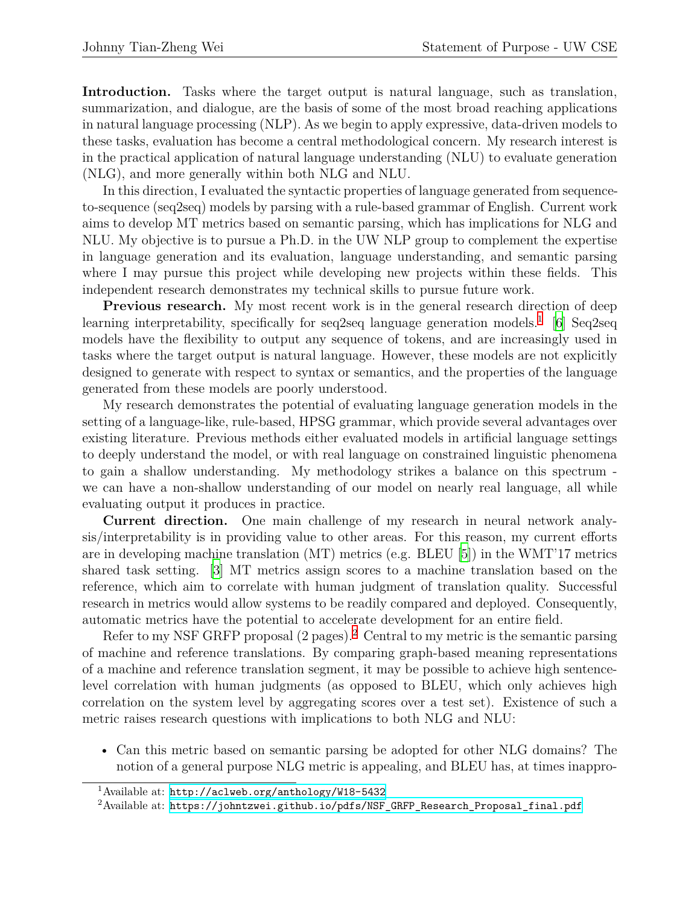**Introduction.** Tasks where the target output is natural language, such as translation, summarization, and dialogue, are the basis of some of the most broad reaching applications in natural language processing (NLP). As we begin to apply expressive, data-driven models to these tasks, evaluation has become a central methodological concern. My research interest is in the practical application of natural language understanding (NLU) to evaluate generation (NLG), and more generally within both NLG and NLU.

In this direction, I evaluated the syntactic properties of language generated from sequenceto-sequence (seq2seq) models by parsing with a rule-based grammar of English. Current work aims to develop MT metrics based on semantic parsing, which has implications for NLG and NLU. My objective is to pursue a Ph.D. in the UW NLP group to complement the expertise in language generation and its evaluation, language understanding, and semantic parsing where I may pursue this project while developing new projects within these fields. This independent research demonstrates my technical skills to pursue future work.

**Previous research.** My most recent work is in the general research direction of deep learning interpretability, specifically for seq2seq language generation models.<sup>1</sup> [\[6](#page-2-0)] Seq2seq models have the flexibility to output any sequence of tokens, and are increasingly used in tasks where the target output is natural language. However, these models are not explicitly designed to generate with respect to syntax or semantics, and the properties of the language generated from these models are poorly understood.

My research demonstrates the potential of evaluating language generation models in the setting of a language-like, rule-based, HPSG grammar, which provide several advantages over existing literature. Previous methods either evaluated models in artificial language settings to deeply understand the model, or with real language on constrained linguistic phenomena to gain a shallow understanding. My methodology strikes a balance on this spectrum we can have a non-shallow understanding of our model on nearly real language, all while evaluating output it produces in practice.

**Current direction.** One main challenge of my research in neural network analysis/interpretability is in providing value to other areas. For this reason, my current efforts are in developing machine translation (MT) metrics (e.g. BLEU [[5](#page-2-1)]) in the WMT'17 metrics shared task setting. [[3](#page-2-2)] MT metrics assign scores to a machine translation based on the reference, which aim to correlate with human judgment of translation quality. Successful research in metrics would allow systems to be readily compared and deployed. Consequently, automatic metrics have the potential to accelerate development for an entire field.

Refer to my NSF GRFP proposal  $(2 \text{ pages})$ .<sup>2</sup> Central to my metric is the semantic parsing of machine and reference translations. By comparing graph-based meaning representations of a machine and reference translation segment, it may be possible to achieve high sentencelevel correlation with human judgments (as opposed to BLEU, which only achieves high correlation on the system level by aggregating scores over a test set). Existence of such a metric raises research questions with implications to both NLG and NLU:

• Can this metric based on semantic parsing be adopted for other NLG domains? The notion of a general purpose NLG metric is appealing, and BLEU has, at times inappro-

<sup>1</sup>Available at: <http://aclweb.org/anthology/W18-5432>

<sup>&</sup>lt;sup>2</sup>Available at: [https://johntzwei.github.io/pdfs/NSF\\_GRFP\\_Research\\_Proposal\\_final.pdf](https://johntzwei.github.io/pdfs/NSF_GRFP_Research_Proposal_final.pdf)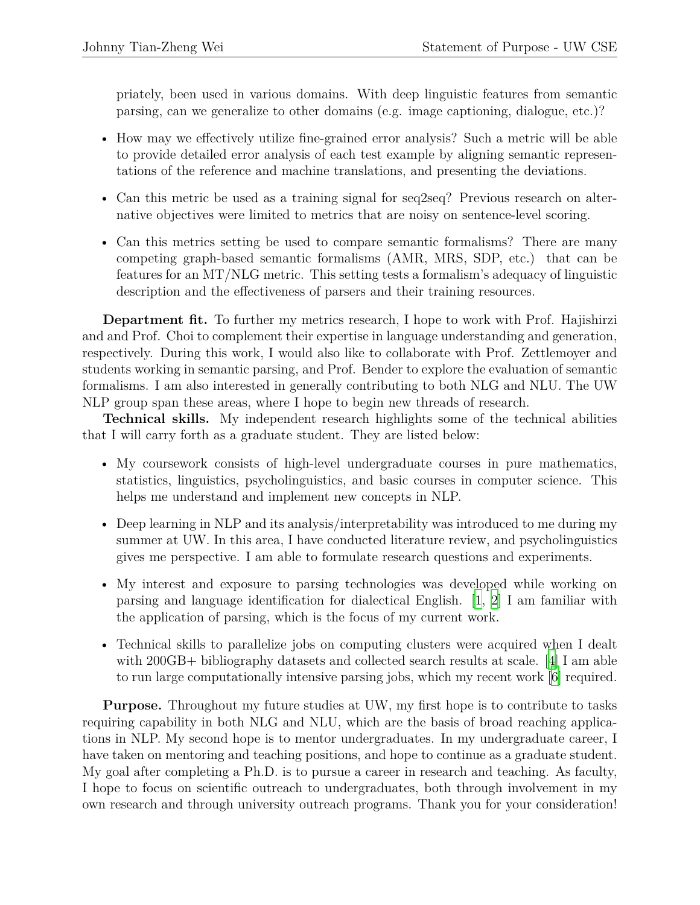priately, been used in various domains. With deep linguistic features from semantic parsing, can we generalize to other domains (e.g. image captioning, dialogue, etc.)?

- How may we effectively utilize fine-grained error analysis? Such a metric will be able to provide detailed error analysis of each test example by aligning semantic representations of the reference and machine translations, and presenting the deviations.
- Can this metric be used as a training signal for seq2seq? Previous research on alternative objectives were limited to metrics that are noisy on sentence-level scoring.
- Can this metrics setting be used to compare semantic formalisms? There are many competing graph-based semantic formalisms (AMR, MRS, SDP, etc.) that can be features for an MT/NLG metric. This setting tests a formalism's adequacy of linguistic description and the effectiveness of parsers and their training resources.

**Department fit.** To further my metrics research, I hope to work with Prof. Hajishirzi and and Prof. Choi to complement their expertise in language understanding and generation, respectively. During this work, I would also like to collaborate with Prof. Zettlemoyer and students working in semantic parsing, and Prof. Bender to explore the evaluation of semantic formalisms. I am also interested in generally contributing to both NLG and NLU. The UW NLP group span these areas, where I hope to begin new threads of research.

**Technical skills.** My independent research highlights some of the technical abilities that I will carry forth as a graduate student. They are listed below:

- My coursework consists of high-level undergraduate courses in pure mathematics, statistics, linguistics, psycholinguistics, and basic courses in computer science. This helps me understand and implement new concepts in NLP.
- Deep learning in NLP and its analysis/interpretability was introduced to me during my summer at UW. In this area, I have conducted literature review, and psycholinguistics gives me perspective. I am able to formulate research questions and experiments.
- My interest and exposure to parsing technologies was developed while working on parsing and language identification for dialectical English. [[1,](#page-2-3) [2\]](#page-2-4) I am familiar with the application of parsing, which is the focus of my current work.
- Technical skills to parallelize jobs on computing clusters were acquired when I dealt with 200GB+ bibliography datasets and collected search results at scale. [[4\]](#page-2-5) I am able to run large computationally intensive parsing jobs, which my recent work [\[6](#page-2-0)] required.

**Purpose.** Throughout my future studies at UW, my first hope is to contribute to tasks requiring capability in both NLG and NLU, which are the basis of broad reaching applications in NLP. My second hope is to mentor undergraduates. In my undergraduate career, I have taken on mentoring and teaching positions, and hope to continue as a graduate student. My goal after completing a Ph.D. is to pursue a career in research and teaching. As faculty, I hope to focus on scientific outreach to undergraduates, both through involvement in my own research and through university outreach programs. Thank you for your consideration!